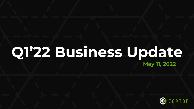## **Q1'22 Business Update May 11, 2022**

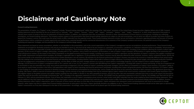### **Disclaimer and Cautionary Note**

#### **Forward-Looking Statements**

This presentation of Cepton, Inc. ("Cepton" or the "Company") includes "forward-looking statements" within the meaning of the "safe harbor" provisions of the United States Private Securities Litigation Reform Act of 1995. looking statements may be identified by the use of words such as "estimate," "plan," "project," "forecast," "intend," "will," "expect," "anticipate," "believe," "seek," "target," "designed to" or other similar expressions indicate future events or trends or that are not statements of historical matters. In addition, any statements that refer to projections, forecasts or other characterizations of future events or circumstances, including an assumptions, are forward-looking statements. The Company cautions viewers of this presentation that these forward-looking statements are subject to risks and uncertainties, most of which are difficult to predict and many o beyond the Company's control, that could cause the actual results to differ materially from the expected results. These forward-looking statements include, but are not limited to, statements regarding estimates and forecas and performance metrics, projections of market opportunity and market share, potential benefits and the commercial attractiveness to its customers of the Company's products and services, the potential success of the Compan marketing and expansion strategies, and the potential for the Company to achieve design awards.

These statements are based on various assumptions, whether or not identified in this presentation, and on the current expectations of the Company's management and are not predictions of actual performance. These forward-lo statements are provided for illustrative purposes only and are not intended to serve as, and must not be relied on by any investor as, a guarantee, an assurance, a prediction or a definitive statement of fact or probabilit circumstances are difficult or impossible to predict and will differ from assumptions. These forward-looking statements are subject to a number of risks and uncertainties, including (1) the conditions affecting the markets operates; (2) the success of Cepton's strategic relationships, including with its Tier 1 partners, none of which are exclusive; (3) fluctuations in sales of Cepton's major customers; (4) fluctuations in capital spending in smart infrastructure markets; (5) the impact of the COVID-19 pandemic on the global economy and financial markets, including any restrictions on Cepton's operations and the operations of Cepton's customers and suppliers re public health requirements and government mandates; (6) changes in applicable laws or regulations; (7) the possibility that Cepton's business may be adversely affected by other economic, business, and/or competitive factor that current trends in the automotive and smart infrastructure markets decelerate or do not continue; (9) estimates for the financial performance of Cepton's business may prove to be incorrect or materially different from (10) risks relating to the uncertainty of the projected financial and operating information, including whether Cepton will be able to achieve its target milestones, its pricing and sales volume targets, and its proposed pr and win the engagements contemplated in its projected pipeline, and the ability of OEMs and other strategic partners to re-source or cancel vehicle or technology programs; (11) risks related to future market adoption of Ce offerings; (12) the final terms of Cepton's arrangement with its Tier 1 partner and, in turn, its Tier 1 partner's contract with GM differing from Cepton's expectations, including with respect to volume and timing, or that be terminated or may not materialize into a long-term contract partnership arrangement; (13) risks related to Cepton's marketing and growth strategies; (14) the effects of competition on Cepton's future business; (15) Cept issue equity or equity-linked securities in the future; (16) expectations with respect to future operating and financial performance and growth, including when Cepton will generate positive cash flow from operations; (17) to raise funding on reasonable terms as necessary to develop its products in the timeframe contemplated by its business plan, and to comply with the terms of any restrictive, financial or other covenants in the agreements funding; (18) Cepton's ability to execute its business plans and strategy; (19) the outcome of any legal proceedings that may be instituted against Cepton related to the recent business combination with Growth Capital Acqu (20) negative impact on the global economy and capital markets resulting from the conflict in Ukraine or any other geopolitical tensions; and (21) the other risks and uncertainties indicated from time to time in the report Cepton files with the Securities and Exchange Commission (the "SEC"), including in the registration statement on Form S-1 (File No. 333-262667) and the registration statement on Form S-1 (File No. 333-26268), each filed wi February 11, 2022, and any amendments thereto. If any of these risks materialize or any of Cepton's assumptions prove incorrect, actual results could differ materially from the results implied by these forward-looking stat may be additional risks that Cepton does not presently know or that Cepton currently believes are immaterial that could also cause actual results to differ from those contained in the forward-looking statements. In additio looking statements reflect Cepton's expectations, plans or forecasts of future events and views as of the date of this presentation. Cepton anticipates that subsequent events and developments will cause its assessments to However, while Cepton may elect to update these forward-looking statements at some point in the future, Cepton specifically disclaims any obligation to do so. These forward-looking statements should not be relied upon as r Cepton's assessments as of any date subsequent to the date of this presentation. Accordingly, undue reliance should not be placed upon the forward-looking statements.

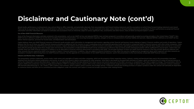### **Disclaimer and Cautionary Note (cont'd)**

Actual results, performance or achievements may, and are likely to, differ materially, and potentially adversely, from any projections and forward-looking statements and the assumptions on which those forward-looking state There can be no assurance that the data contained herein is reflective of future performance to any degree. You are cautioned not to place undue reliance on forward-looking statements as a predictor of future performance a information and other information are based on estimates and assumptions that are inherently subject to various significant risks, uncertainties and other factors, many of which are beyond Cepton's control.

#### **Use of Non-GAAP Financial Measures**

Some of the financial information and data contained in this presentation, such as non-GAAP net loss and adjusted EBITDA, have not been prepared in accordance with generally accepted accounting principles in the United Sta GAAP net loss is defined as GAAP net income (loss) excluding stock-based compensation, non-recurring transaction expenses, and gain or loss on remeasurement of earnout liability and warrants. Adjusted EBITDA is defined as before interest expenses, provision for income taxes, and depreciation and amortization.

Cepton believes these non-GAAP financial measures of financial results provide useful information to management and investors regarding certain financial and business trends relating to Cepton's financial condition and res believes that the use of these non-GAAP financial measures provides an additional tool for investors to use in evaluating actual and projected operating results and trends in comparing Cepton's financial measures with othe of which present similar non-GAAP financial measures to investors. Cepton also believes that adjusted EBITDA is useful to investors and analysts in assessing our operating performance during the periods these charges were basis with the periods during which these charges were not incurred. Our presentation of adjusted EBITDA should not be considered as an inference that our future results and financial position will be unaffected by unusual consider these non-GAAP financial measures in isolation or as an alternative to financial measures determined in accordance with GAAP. The principal limitation of these non-GAAP financial measures is that they exclude sign other amounts that are required by GAAP to be recorded in Cepton's financial statements. In addition, they are subject to inherent limitations as they reflect the exercise of judgments by management about which expenses an excluded or included in determining these non-GAAP financial measures. See the appendix for a reconciliation of non-GAAP financial measures used in this presentation to the most directly comparable GAAP financial measure.

#### **Industry and Market Data; Trademarks**

This presentation contains trademarks, service marks, trade names and copyrights of Cepton and other companies, which are the property of their respective owners. Industry, market and benchmark data used in this presentati obtained from third-party industry publications and sources, as well as from research reports and prepared for other purposes. Some data is also based on the good faith estimates of Cepton, which are derived from its revie well as the independent sources described above. Cepton has not independently verified the data obtained from these sources and cannot assure you of the data's accuracy or completeness. This data is subject to change. This Cepton's ADAS series production contract to supply General Motors ("GM") in multiple instances. Cepton refers to this contract as the largest known program based on number of vehicle models awarded. The series production c GM and Koito Manufacturing Co., Ltd. ("Koito"). GM is Cepton's end customer, Koito is Cepton's direct customer and strategic partner. Production volume and resulting purchases of Cepton's products under this contract will on numerous factors and there are no committed purchase obligations under this contract until Cepton is issued and accepts a purchase order relating thereto.

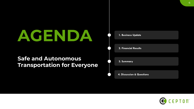# **AGENDA 1. Business Update**

### **Safe and Autonomous Transportation for Everyone**

| 1. Business Update                   |
|--------------------------------------|
|                                      |
| <b>2. Financial Results</b>          |
|                                      |
| 3. Summary                           |
|                                      |
| <b>4. Discussion &amp; Questions</b> |

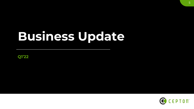# **Business Update**

**Q1'22**

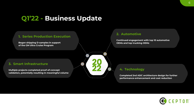### **Q1'22 - Business Update**



#### **2. Automotive**

**Continued engagement with top 10 automotive OEMs and top trucking OEMs**

#### **4. Technology**

**Completed 2nd ASIC architecture design for further performance enhancement and cost reduction**

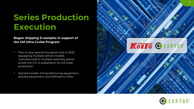## **Series Production Execution**

### **Began shipping D -samples in support of the GM Ultra Cruise Program**

- Plan to ship several thousand units in 2022, equipping multiple vehicle models manufactured in multiple assembly plants across the U.S. in preparation for full scale production
- Started transfer of manufacturing equipment, process equipment, and software to Koito



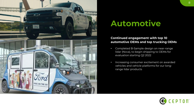

## **Automotive**

### **Continued engagement with top 10 automotive OEMs and top trucking OEMs**

- Completed B-Sample design on near-range lidar (Nova), to begin shipping to OEMs for evaluation starting Q2 2022
- Increasing consumer excitement on awarded vehicles and vehicle platforms for our longrange lidar products

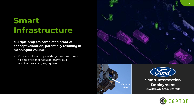## **Smart Infrastructure**

**Multiple projects completed proof-ofconcept validation, potentially resulting in meaningful volume**

• Deepen relationships with system integrators to deploy lidar sensors across various applications and geographies





**Smart Intersection Deployment (Corktown Area, Detroit)**

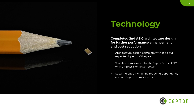

## **Technology**

**Completed 2nd ASIC architecture design for further performance enhancement and cost reduction**

- Architecture design complete with tape out expected by end of the year
- Scalable companion chip to Cepton's first ASIC with emphasis on lower power
- Securing supply chain by reducing dependency on non-Cepton components

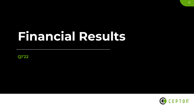# **Financial Results**

**Q1'22**

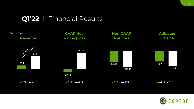### **Q1'22** I Financial Results



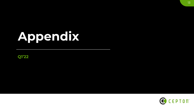# **Appendix**

**Q1'22**